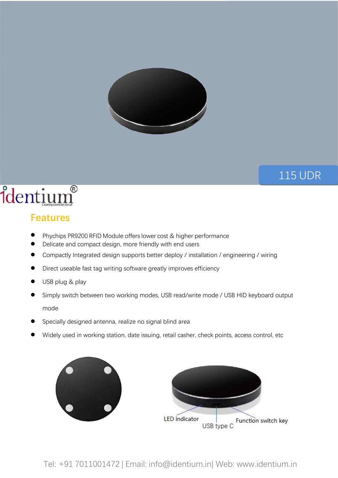

## 115 UDR

CL<sub>2</sub>206<br>BSA (Barbara Barat)

## identium®

## **Features**

- **•** Phychips PR9200 RFID Module offers lower cost & higher performance
- Delicate and compact design, more friendly with end users
- Compactly Integrated design supports better deploy / installation / engineering / wiring
- Direct useable fast tag writing software greatly improves efficiency
- USB plug & play
- Simply switch between two working modes, USB read/write mode / USB HID keyboard output mode
- Specially designed antenna, realize no signal blind area
- Widely used in working station, date issuing, retail casher, check points, access control, etc